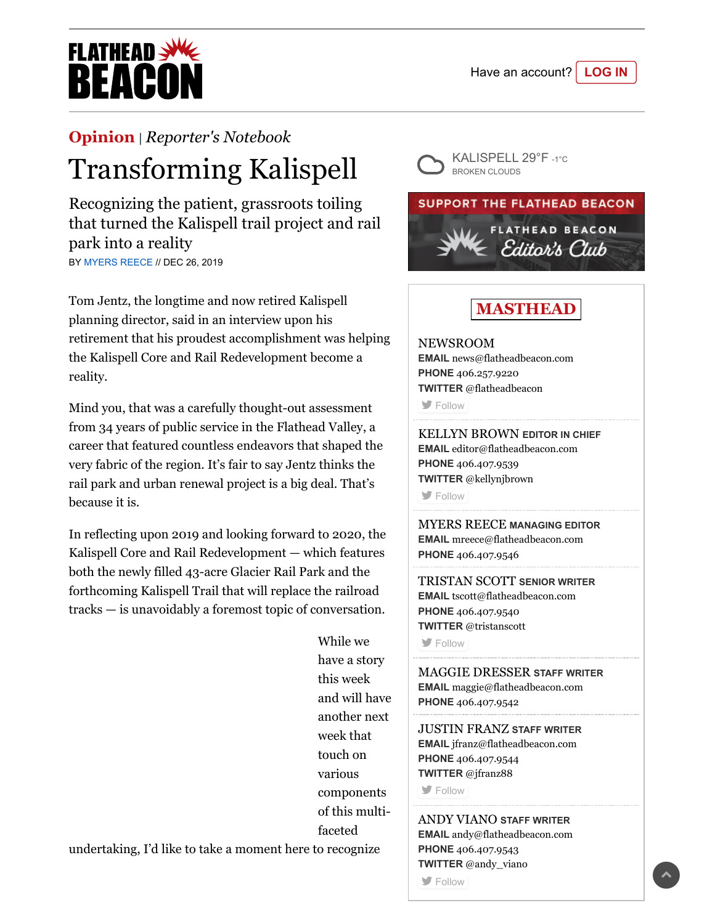

## **[Opinion](https://flatheadbeacon.com/section/opinion/)** | *[Reporter's Notebook](https://flatheadbeacon.com/section/opinion/reporters-notebook/)*

## Transforming Kalispell

Recognizing the patient, grassroots toiling that turned the Kalispell trail project and rail park into a reality BY [MYERS REECE](https://flatheadbeacon.com/author/myers-reece/) // DEC 26, 2019

Tom Jentz, the longtime and now retired Kalispell planning director, said in an interview upon his retirement that his proudest accomplishment was helping the Kalispell Core and Rail Redevelopment become a reality.

Mind you, that was a carefully thought-out assessment from 34 years of public service in the Flathead Valley, a career that featured countless endeavors that shaped the very fabric of the region. It's fair to say Jentz thinks the rail park and urban renewal project is a big deal. That's because it is.

In reflecting upon 2019 and looking forward to 2020, the Kalispell Core and Rail Redevelopment — which features both the newly filled 43-acre Glacier Rail Park and the forthcoming Kalispell Trail that will replace the railroad tracks — is unavoidably a foremost topic of conversation.

> While we have a story this week and will have another next week that touch on various components of this multifaceted

undertaking, I'd like to take a moment here to recognize



## **SUPPORT THE FLATHEAD BEACON**



**MASTHEAD**

NEWSROOM **EMAIL** [news@flatheadbeacon.com](mailto:news@flatheadbeacon.com) **PHONE** [406.257.9220](tel:406.257.9220) **TWITTER** @flatheadbeacon

**S** [Follow](http://twitter.com/flatheadbeacon)

KELLYN BROWN **EDITOR IN CHIEF EMAIL** [editor@flatheadbeacon.com](mailto:editor@flatheadbeacon.com) **PHONE** [406.407.9539](tel:406.407.9539) **TWITTER** @kellynjbrown

**[Follow](http://twitter.com/kellynjbrown)** 

MYERS REECE **MANAGING EDITOR EMAIL** [mreece@flatheadbeacon.com](mailto:mreece@flatheadbeacon.com) **PHONE** [406.407.9546](tel:406.407.9546)

TRISTAN SCOTT **SENIOR WRITER EMAIL** [tscott@flatheadbeacon.com](mailto:tscott@flatheadbeacon.com) **PHONE** [406.407.9540](tel:406.407.9540) **TWITTER** @tristanscott

**S** [Follow](http://twitter.com/tristanscott)

MAGGIE DRESSER **STAFF WRITER EMAIL** [maggie@flatheadbeacon.com](mailto:maggie@flatheadbeacon.com) **PHONE** [406.407.9542](tel:406.407.9542)

JUSTIN FRANZ **STAFF WRITER EMAIL** [jfranz@flatheadbeacon.com](mailto:jfranz@flatheadbeacon.com) **PHONE** [406.407.9544](tel:406.407.9544) **TWITTER** @jfranz88

**[Follow](http://twitter.com/jfranz88)** 

ANDY VIANO **STAFF WRITER EMAIL** [andy@flatheadbeacon.com](mailto:andy@flatheadbeacon.com) **PHONE** [406.407.9543](tel:406.407.9543) **TWITTER** @andy\_viano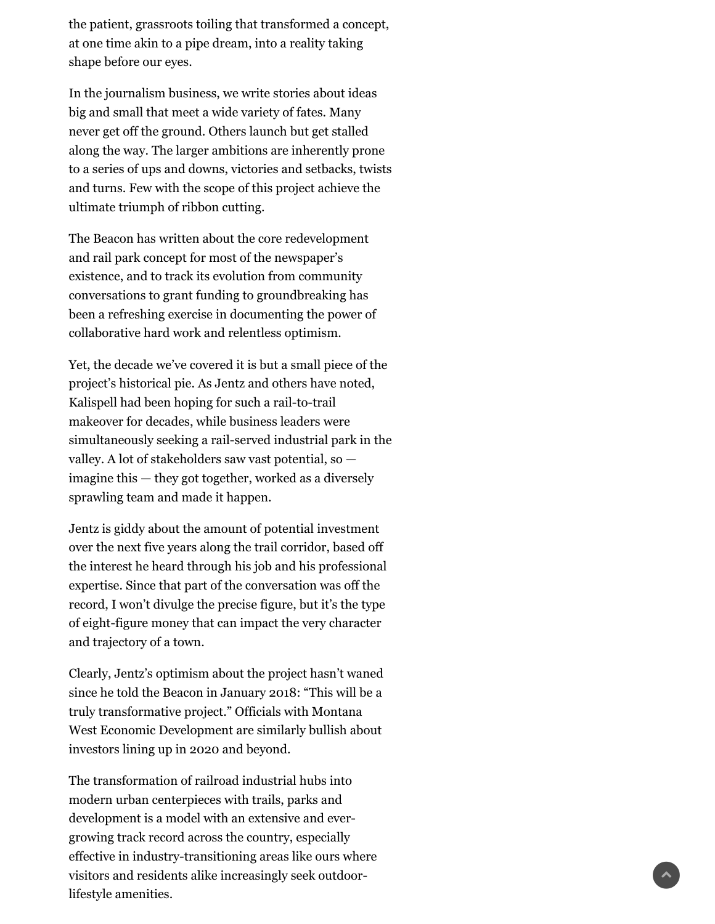the patient, grassroots toiling that transformed a concept, at one time akin to a pipe dream, into a reality taking shape before our eyes.

In the journalism business, we write stories about ideas big and small that meet a wide variety of fates. Many never get off the ground. Others launch but get stalled along the way. The larger ambitions are inherently prone to a series of ups and downs, victories and setbacks, twists and turns. Few with the scope of this project achieve the ultimate triumph of ribbon cutting.

The Beacon has written about the core redevelopment and rail park concept for most of the newspaper's existence, and to track its evolution from community conversations to grant funding to groundbreaking has been a refreshing exercise in documenting the power of collaborative hard work and relentless optimism.

Yet, the decade we've covered it is but a small piece of the project's historical pie. As Jentz and others have noted, Kalispell had been hoping for such a rail-to-trail makeover for decades, while business leaders were simultaneously seeking a rail-served industrial park in the valley. A lot of stakeholders saw vast potential, so imagine this — they got together, worked as a diversely sprawling team and made it happen.

Jentz is giddy about the amount of potential investment over the next five years along the trail corridor, based off the interest he heard through his job and his professional expertise. Since that part of the conversation was off the record, I won't divulge the precise figure, but it's the type of eight-figure money that can impact the very character and trajectory of a town.

Clearly, Jentz's optimism about the project hasn't waned since he told the Beacon in January 2018: "This will be a truly transformative project." Officials with Montana West Economic Development are similarly bullish about investors lining up in 2020 and beyond.

The transformation of railroad industrial hubs into modern urban centerpieces with trails, parks and development is a model with an extensive and evergrowing track record across the country, especially effective in industry-transitioning areas like ours where visitors and residents alike increasingly seek outdoorlifestyle amenities.